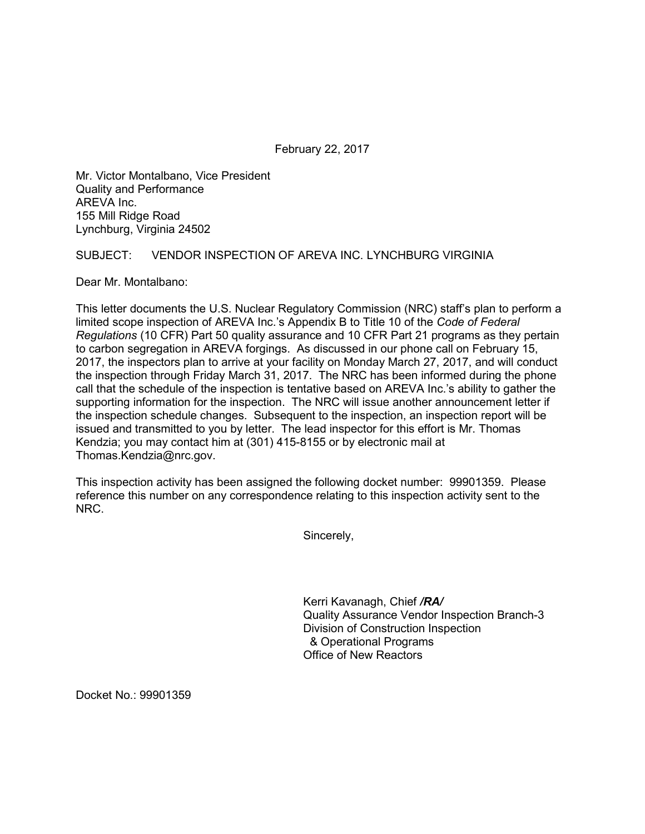February 22, 2017

Mr. Victor Montalbano, Vice President Quality and Performance AREVA Inc. 155 Mill Ridge Road Lynchburg, Virginia 24502

## SUBJECT: VENDOR INSPECTION OF AREVA INC. LYNCHBURG VIRGINIA

Dear Mr. Montalbano:

This letter documents the U.S. Nuclear Regulatory Commission (NRC) staff's plan to perform a limited scope inspection of AREVA Inc.'s Appendix B to Title 10 of the *Code of Federal Regulations* (10 CFR) Part 50 quality assurance and 10 CFR Part 21 programs as they pertain to carbon segregation in AREVA forgings. As discussed in our phone call on February 15, 2017, the inspectors plan to arrive at your facility on Monday March 27, 2017, and will conduct the inspection through Friday March 31, 2017. The NRC has been informed during the phone call that the schedule of the inspection is tentative based on AREVA Inc.'s ability to gather the supporting information for the inspection. The NRC will issue another announcement letter if the inspection schedule changes. Subsequent to the inspection, an inspection report will be issued and transmitted to you by letter. The lead inspector for this effort is Mr. Thomas Kendzia; you may contact him at (301) 415-8155 or by electronic mail at Thomas.Kendzia@nrc.gov.

This inspection activity has been assigned the following docket number: 99901359. Please reference this number on any correspondence relating to this inspection activity sent to the NRC.

Sincerely,

Kerri Kavanagh, Chief */RA/* Quality Assurance Vendor Inspection Branch-3 Division of Construction Inspection & Operational Programs Office of New Reactors

Docket No.: 99901359